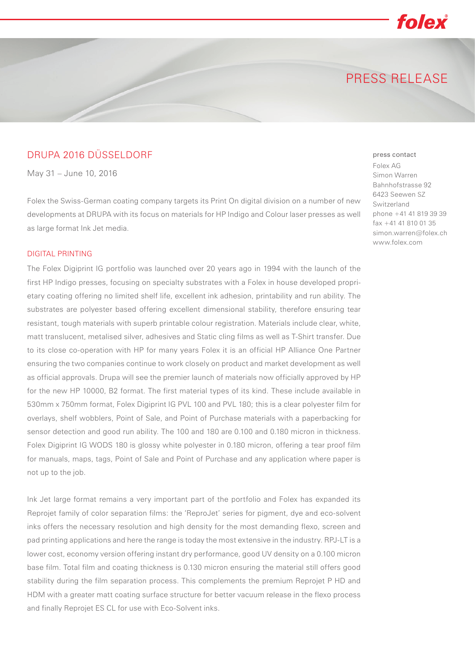## PRESS RELEASE

folex

## DRUPA 2016 DÜSSELDORF

May 31 – June 10, 2016

Folex the Swiss-German coating company targets its Print On digital division on a number of new developments at DRUPA with its focus on materials for HP Indigo and Colour laser presses as well as large format Ink Jet media.

#### DIGITAL PRINTING

The Folex Digiprint IG portfolio was launched over 20 years ago in 1994 with the launch of the first HP Indigo presses, focusing on specialty substrates with a Folex in house developed proprietary coating offering no limited shelf life, excellent ink adhesion, printability and run ability. The substrates are polyester based offering excellent dimensional stability, therefore ensuring tear resistant, tough materials with superb printable colour registration. Materials include clear, white, matt translucent, metalised silver, adhesives and Static cling films as well as T-Shirt transfer. Due to its close co-operation with HP for many years Folex it is an official HP Alliance One Partner ensuring the two companies continue to work closely on product and market development as well as official approvals. Drupa will see the premier launch of materials now officially approved by HP for the new HP 10000, B2 format. The first material types of its kind. These include available in 530mm x 750mm format, Folex Digiprint IG PVL 100 and PVL 180; this is a clear polyester film for overlays, shelf wobblers, Point of Sale, and Point of Purchase materials with a paperbacking for sensor detection and good run ability. The 100 and 180 are 0.100 and 0.180 micron in thickness. Folex Digiprint IG WODS 180 is glossy white polyester in 0.180 micron, offering a tear proof film for manuals, maps, tags, Point of Sale and Point of Purchase and any application where paper is not up to the job.

Ink Jet large format remains a very important part of the portfolio and Folex has expanded its Reprojet family of color separation films: the 'ReproJet' series for pigment, dye and eco-solvent inks offers the necessary resolution and high density for the most demanding flexo, screen and pad printing applications and here the range is today the most extensive in the industry. RPJ-LT is a lower cost, economy version offering instant dry performance, good UV density on a 0.100 micron base film. Total film and coating thickness is 0.130 micron ensuring the material still offers good stability during the film separation process. This complements the premium Reprojet P HD and HDM with a greater matt coating surface structure for better vacuum release in the flexo process and finally Reprojet ES CL for use with Eco-Solvent inks.

### press contact

Folex AG Simon Warren Bahnhofstrasse 92 6423 Seewen SZ Switzerland phone +41 41 819 39 39 fax +41 41 810 01 35 simon.warren@folex.ch www.folex.com